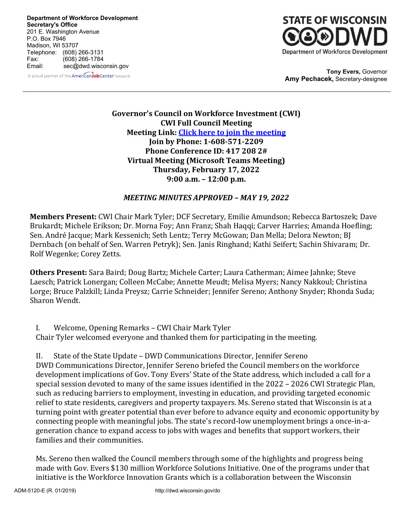**Department of Workforce Development Secretary's Office** 201 E. Washington Avenue P.O. Box 7946 Madison, WI 53707 Telephone: (608) 266-3131 Fax: (608) 266-1784 Email: sec@dwd.wisconsin.gov **Tony Evers,** Governor





**Amy Pechacek,** Secretary-designee

**Governor's Council on Workforce Investment (CWI) CWI Full Council Meeting Meeting Link: [Click here to join the meeting](https://teams.microsoft.com/l/meetup-join/19%3ameeting_MWYxNDMzZDQtZWJmZS00MzM0LTk4MzktNDE1MGI3OGZmYzdj%40thread.v2/0?context=%7b%22Tid%22%3a%22f4e2d11c-fae4-453b-b6c0-2964663779aa%22%2c%22Oid%22%3a%22965d74ec-9fc0-4db5-aebb-3f23a92dde8b%22%7d)  Join by Phone: 1-608-571-2209 Phone Conference ID: 417 208 2# Virtual Meeting (Microsoft Teams Meeting) Thursday, February 17, 2022 9:00 a.m. – 12:00 p.m.**

#### *MEETING MINUTES APPROVED – MAY 19, 2022*

**Members Present:** CWI Chair Mark Tyler; DCF Secretary, Emilie Amundson; Rebecca Bartoszek; Dave Brukardt; Michele Erikson; Dr. Morna Foy; Ann Franz; Shah Haqqi; Carver Harries; Amanda Hoefling; Sen. André Jacque; Mark Kessenich; Seth Lentz; Terry McGowan; Dan Mella; Delora Newton; BJ Dernbach (on behalf of Sen. Warren Petryk); Sen. Janis Ringhand; Kathi Seifert; Sachin Shivaram; Dr. Rolf Wegenke; Corey Zetts.

**Others Present:** Sara Baird; Doug Bartz; Michele Carter; Laura Catherman; Aimee Jahnke; Steve Laesch; Patrick Lonergan; Colleen McCabe; Annette Meudt; Melisa Myers; Nancy Nakkoul; Christina Lorge; Bruce Palzkill; Linda Preysz; Carrie Schneider; Jennifer Sereno; Anthony Snyder; Rhonda Suda; Sharon Wendt.

I. Welcome, Opening Remarks – CWI Chair Mark Tyler Chair Tyler welcomed everyone and thanked them for participating in the meeting.

II. State of the State Update – DWD Communications Director, Jennifer Sereno DWD Communications Director, Jennifer Sereno briefed the Council members on the workforce development implications of Gov. Tony Evers' State of the State address, which included a call for a special session devoted to many of the same issues identified in the 2022 – 2026 CWI Strategic Plan, such as reducing barriers to employment, investing in education, and providing targeted economic relief to state residents, caregivers and property taxpayers. Ms. Sereno stated that Wisconsin is at a turning point with greater potential than ever before to advance equity and economic opportunity by connecting people with meaningful jobs. The state's record-low unemployment brings a once-in-ageneration chance to expand access to jobs with wages and benefits that support workers, their families and their communities.

Ms. Sereno then walked the Council members through some of the highlights and progress being made with Gov. Evers \$130 million Workforce Solutions Initiative. One of the programs under that initiative is the Workforce Innovation Grants which is a collaboration between the Wisconsin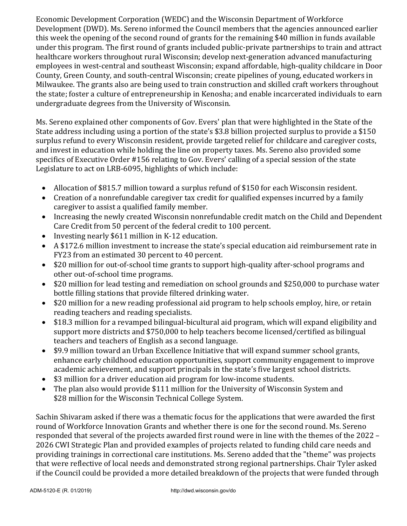Economic Development Corporation (WEDC) and the Wisconsin Department of Workforce Development (DWD). Ms. Sereno informed the Council members that the agencies announced earlier this week the opening of the second round of grants for the remaining \$40 million in funds available under this program. The first round of grants included public-private partnerships to train and attract healthcare workers throughout rural Wisconsin; develop next-generation advanced manufacturing employees in west-central and southeast Wisconsin; expand affordable, high-quality childcare in Door County, Green County, and south-central Wisconsin; create pipelines of young, educated workers in Milwaukee. The grants also are being used to train construction and skilled craft workers throughout the state; foster a culture of entrepreneurship in Kenosha; and enable incarcerated individuals to earn undergraduate degrees from the University of Wisconsin.

Ms. Sereno explained other components of Gov. Evers' plan that were highlighted in the State of the State address including using a portion of the state's \$3.8 billion projected surplus to provide a \$150 surplus refund to every Wisconsin resident, provide targeted relief for childcare and caregiver costs, and invest in education while holding the line on property taxes. Ms. Sereno also provided some specifics of Executive Order #156 relating to Gov. Evers' calling of a special session of the state Legislature to act on LRB-6095, highlights of which include:

- Allocation of \$815.7 million toward a surplus refund of \$150 for each Wisconsin resident.
- Creation of a nonrefundable caregiver tax credit for qualified expenses incurred by a family caregiver to assist a qualified family member.
- Increasing the newly created Wisconsin nonrefundable credit match on the Child and Dependent Care Credit from 50 percent of the federal credit to 100 percent.
- Investing nearly \$611 million in K-12 education.
- A \$172.6 million investment to increase the state's special education aid reimbursement rate in FY23 from an estimated 30 percent to 40 percent.
- \$20 million for out-of-school time grants to support high-quality after-school programs and other out-of-school time programs.
- \$20 million for lead testing and remediation on school grounds and \$250,000 to purchase water bottle filling stations that provide filtered drinking water.
- \$20 million for a new reading professional aid program to help schools employ, hire, or retain reading teachers and reading specialists.
- \$18.3 million for a revamped bilingual-bicultural aid program, which will expand eligibility and support more districts and \$750,000 to help teachers become licensed/certified as bilingual teachers and teachers of English as a second language.
- \$9.9 million toward an Urban Excellence Initiative that will expand summer school grants, enhance early childhood education opportunities, support community engagement to improve academic achievement, and support principals in the state's five largest school districts.
- \$3 million for a driver education aid program for low-income students.
- The plan also would provide \$111 million for the University of Wisconsin System and \$28 million for the Wisconsin Technical College System.

Sachin Shivaram asked if there was a thematic focus for the applications that were awarded the first round of Workforce Innovation Grants and whether there is one for the second round. Ms. Sereno responded that several of the projects awarded first round were in line with the themes of the 2022 – 2026 CWI Strategic Plan and provided examples of projects related to funding child care needs and providing trainings in correctional care institutions. Ms. Sereno added that the "theme" was projects that were reflective of local needs and demonstrated strong regional partnerships. Chair Tyler asked if the Council could be provided a more detailed breakdown of the projects that were funded through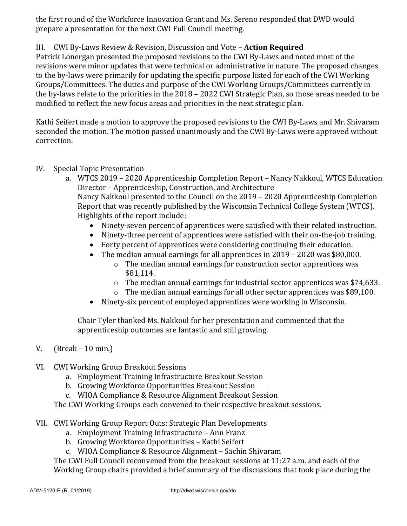the first round of the Workforce Innovation Grant and Ms. Sereno responded that DWD would prepare a presentation for the next CWI Full Council meeting.

# III. CWI By-Laws Review & Revision, Discussion and Vote – **Action Required**

Patrick Lonergan presented the proposed revisions to the CWI By-Laws and noted most of the revisions were minor updates that were technical or administrative in nature. The proposed changes to the by-laws were primarily for updating the specific purpose listed for each of the CWI Working Groups/Committees. The duties and purpose of the CWI Working Groups/Committees currently in the by-laws relate to the priorities in the 2018 – 2022 CWI Strategic Plan, so those areas needed to be modified to reflect the new focus areas and priorities in the next strategic plan.

Kathi Seifert made a motion to approve the proposed revisions to the CWI By-Laws and Mr. Shivaram seconded the motion. The motion passed unanimously and the CWI By-Laws were approved without correction.

## IV. Special Topic Presentation

- a. WTCS 2019 2020 Apprenticeship Completion Report Nancy Nakkoul, WTCS Education Director – Apprenticeship, Construction, and Architecture Nancy Nakkoul presented to the Council on the 2019 – 2020 Apprenticeship Completion Report that was recently published by the Wisconsin Technical College System (WTCS). Highlights of the report include:
	- Ninety-seven percent of apprentices were satisfied with their related instruction.
	- Ninety-three percent of apprentices were satisfied with their on-the-job training.
	- Forty percent of apprentices were considering continuing their education.
	- The median annual earnings for all apprentices in 2019 2020 was \$80,000.
		- o The median annual earnings for construction sector apprentices was \$81,114.
		- $\circ$  The median annual earnings for industrial sector apprentices was \$74,633.
		- o The median annual earnings for all other sector apprentices was \$89,100.
	- Ninety-six percent of employed apprentices were working in Wisconsin.

Chair Tyler thanked Ms. Nakkoul for her presentation and commented that the apprenticeship outcomes are fantastic and still growing.

## V. (Break – 10 min.)

- VI. CWI Working Group Breakout Sessions
	- a. Employment Training Infrastructure Breakout Session
	- b. Growing Workforce Opportunities Breakout Session
	- c. WIOA Compliance & Resource Alignment Breakout Session

The CWI Working Groups each convened to their respective breakout sessions.

- VII. CWI Working Group Report Outs: Strategic Plan Developments
	- a. Employment Training Infrastructure Ann Franz
	- b. Growing Workforce Opportunities Kathi Seifert
	- c. WIOA Compliance & Resource Alignment Sachin Shivaram

The CWI Full Council reconvened from the breakout sessions at 11:27 a.m. and each of the Working Group chairs provided a brief summary of the discussions that took place during the